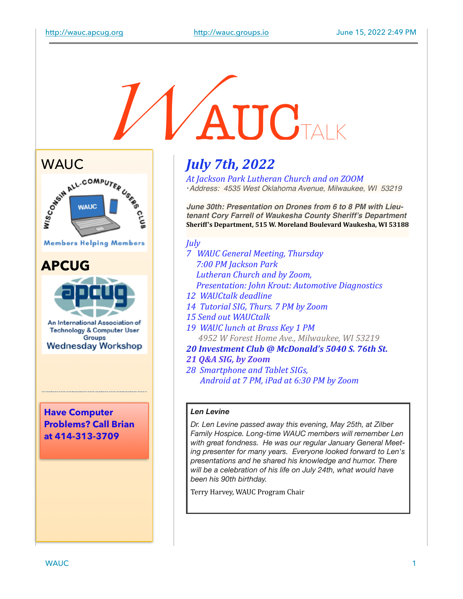# **AUCTALK**



**Members Helping Members** 

#### **APCUG**



**Technology & Computer User Groups Wednesday Workshop** 

**Have Computer Problems? Call Brian at 414-313-3709**

## *July 7th, 2022*

At *Jackson Park Lutheran Church and on ZOOM* !*Address: 4535 West Oklahoma Avenue, Milwaukee, WI 53219*

*June 30th: Presentation on Drones from 6 to 8 PM with Lieutenant Cory Farrell of Waukesha County Sheriff's Department* Sheriff's Department, 515 W. Moreland Boulevard Waukesha, WI 53188

#### *July*

- *7 WAUC General Meeting, Thursday*  7:00 PM Jackson Park *Lutheran Church and by Zoom, Presentation: John Krout: Automotive Diagnostics*
- *12 WAUCtalk deadline*
- *14 Tutorial SIG, Thurs. 7 PM by Zoom*
- 15 Send out WAUCtalk
- 19 WAUC lunch at Brass Key 1 PM 4952 W Forest Home Ave., Milwaukee, WI 53219
- *20 Investment Club @ McDonald's 5040 S. 76th St.*
- *21 Q&A SIG, by Zoom*
- 28 Smartphone and Tablet SIGs, Android at 7 PM, iPad at 6:30 PM by Zoom

#### *Len Levine*

*Dr. Len Levine passed away this evening, May 25th, at Zilber Family Hospice. Long-time WAUC members will remember Len with great fondness. He was our regular January General Meeting presenter for many years. Everyone looked forward to Len's presentations and he shared his knowledge and humor. There will be a celebration of his life on July 24th, what would have been his 90th birthday.* 

Terry Harvey, WAUC Program Chair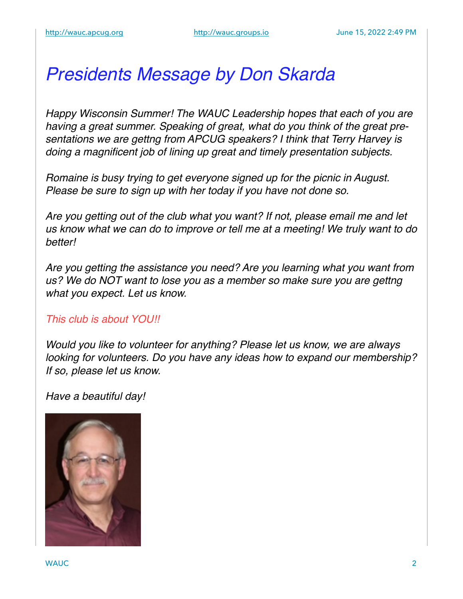## *Presidents Message by Don Skarda*

*Happy Wisconsin Summer! The WAUC Leadership hopes that each of you are having a great summer. Speaking of great, what do you think of the great presentations we are gettng from APCUG speakers? I think that Terry Harvey is doing a magnificent job of lining up great and timely presentation subjects.*

*Romaine is busy trying to get everyone signed up for the picnic in August. Please be sure to sign up with her today if you have not done so.*

*Are you getting out of the club what you want? If not, please email me and let us know what we can do to improve or tell me at a meeting! We truly want to do better!*

*Are you getting the assistance you need? Are you learning what you want from us? We do NOT want to lose you as a member so make sure you are gettng what you expect. Let us know.*

#### *This club is about YOU!!*

*Would you like to volunteer for anything? Please let us know, we are always looking for volunteers. Do you have any ideas how to expand our membership? If so, please let us know.*

*Have a beautiful day!*

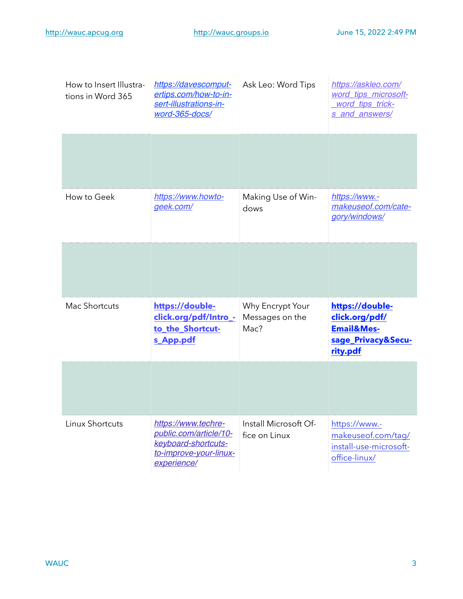| How to Insert Illustra-<br>tions in Word 365 | https://davescomput-<br>ertips.com/how-to-in-<br>sert-illustrations-in-<br>word-365-docs/                     | Ask Leo: Word Tips                          | https://askleo.com/<br>word_tips_microsoft-<br>word tips trick-<br>s and answers/            |
|----------------------------------------------|---------------------------------------------------------------------------------------------------------------|---------------------------------------------|----------------------------------------------------------------------------------------------|
|                                              |                                                                                                               |                                             |                                                                                              |
| How to Geek                                  | https://www.howto-<br>geek.com/                                                                               | Making Use of Win-<br>dows                  | https://www.-<br>makeuseof.com/cate-<br>gory/windows/                                        |
|                                              |                                                                                                               |                                             |                                                                                              |
| Mac Shortcuts                                | https://double-<br>click.org/pdf/Intro_-<br>to the Shortcut-<br>s_App.pdf                                     | Why Encrypt Your<br>Messages on the<br>Mac? | https://double-<br>click.org/pdf/<br><b>Email&amp;Mes-</b><br>sage_Privacy&Secu-<br>rity.pdf |
|                                              |                                                                                                               |                                             |                                                                                              |
| Linux Shortcuts                              | https://www.techre-<br>public.com/article/10-<br>keyboard-shortcuts-<br>to-improve-your-linux-<br>experience/ | Install Microsoft Of-<br>fice on Linux      | https://www.-<br>makeuseof.com/tag/<br>install-use-microsoft-<br>office-linux/               |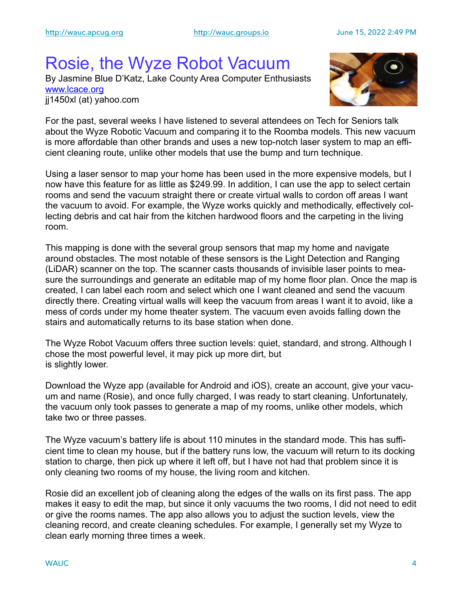## Rosie, the Wyze Robot Vacuum

By Jasmine Blue D'Katz, Lake County Area Computer Enthusiasts [www.lcace.org](http://www.lcace.org) jj1450xl (at) yahoo.com



For the past, several weeks I have listened to several attendees on Tech for Seniors talk about the Wyze Robotic Vacuum and comparing it to the Roomba models. This new vacuum is more affordable than other brands and uses a new top-notch laser system to map an efficient cleaning route, unlike other models that use the bump and turn technique.

Using a laser sensor to map your home has been used in the more expensive models, but I now have this feature for as little as \$249.99. In addition, I can use the app to select certain rooms and send the vacuum straight there or create virtual walls to cordon off areas I want the vacuum to avoid. For example, the Wyze works quickly and methodically, effectively collecting debris and cat hair from the kitchen hardwood floors and the carpeting in the living room.

This mapping is done with the several group sensors that map my home and navigate around obstacles. The most notable of these sensors is the Light Detection and Ranging (LiDAR) scanner on the top. The scanner casts thousands of invisible laser points to measure the surroundings and generate an editable map of my home floor plan. Once the map is created, I can label each room and select which one I want cleaned and send the vacuum directly there. Creating virtual walls will keep the vacuum from areas I want it to avoid, like a mess of cords under my home theater system. The vacuum even avoids falling down the stairs and automatically returns to its base station when done.

The Wyze Robot Vacuum offers three suction levels: quiet, standard, and strong. Although I chose the most powerful level, it may pick up more dirt, but is slightly lower.

Download the Wyze app (available for Android and iOS), create an account, give your vacuum and name (Rosie), and once fully charged, I was ready to start cleaning. Unfortunately, the vacuum only took passes to generate a map of my rooms, unlike other models, which take two or three passes.

The Wyze vacuum's battery life is about 110 minutes in the standard mode. This has sufficient time to clean my house, but if the battery runs low, the vacuum will return to its docking station to charge, then pick up where it left off, but I have not had that problem since it is only cleaning two rooms of my house, the living room and kitchen.

Rosie did an excellent job of cleaning along the edges of the walls on its first pass. The app makes it easy to edit the map, but since it only vacuums the two rooms, I did not need to edit or give the rooms names. The app also allows you to adjust the suction levels, view the cleaning record, and create cleaning schedules. For example, I generally set my Wyze to clean early morning three times a week.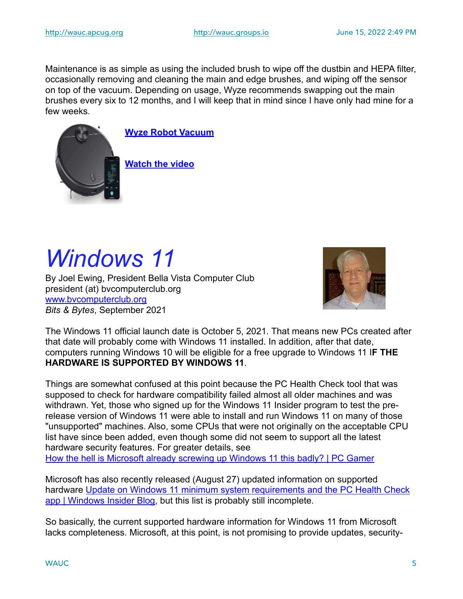Maintenance is as simple as using the included brush to wipe off the dustbin and HEPA filter, occasionally removing and cleaning the main and edge brushes, and wiping off the sensor on top of the vacuum. Depending on usage, Wyze recommends swapping out the main brushes every six to 12 months, and I will keep that in mind since I have only had mine for a few weeks.



**[Wyze Robot Vacuum](https://wyze.com/wyze-robot-vacuum.html)**

**[Watch the video](https://youtu.be/I1u8riXma-A)**

# *Windows 11*

By Joel Ewing, President Bella Vista Computer Club president (at) bvcomputerclub.org [www.bvcomputerclub.org](http://www.bvcomputerclub.org) *Bits & Bytes*, September 2021



The Windows 11 official launch date is October 5, 2021. That means new PCs created after that date will probably come with Windows 11 installed. In addition, after that date, computers running Windows 10 will be eligible for a free upgrade to Windows 11 I**F THE HARDWARE IS SUPPORTED BY WINDOWS 11**.

Things are somewhat confused at this point because the PC Health Check tool that was supposed to check for hardware compatibility failed almost all older machines and was withdrawn. Yet, those who signed up for the Windows 11 Insider program to test the prerelease version of Windows 11 were able to install and run Windows 11 on many of those "unsupported" machines. Also, some CPUs that were not originally on the acceptable CPU list have since been added, even though some did not seem to support all the latest hardware security features. For greater details, see [How the hell is Microsoft already screwing up Windows 11 this badly? | PC Gamer](https://www.pcgamer.com/how-the-hell-is-microsoft-already-screwing-up-windows-11-this-badly/)

Microsoft has also recently released (August 27) updated information on supported hardware Update on Windows 11 minimum system requirements and the PC Health Check [app | Windows Insider Blog](https://blogs.windows.com/windows-insider/2021/08/27/update-on-windows-11-minimum-system-requirements-and-the-pc-health-check-app/), but this list is probably still incomplete.

So basically, the current supported hardware information for Windows 11 from Microsoft lacks completeness. Microsoft, at this point, is not promising to provide updates, security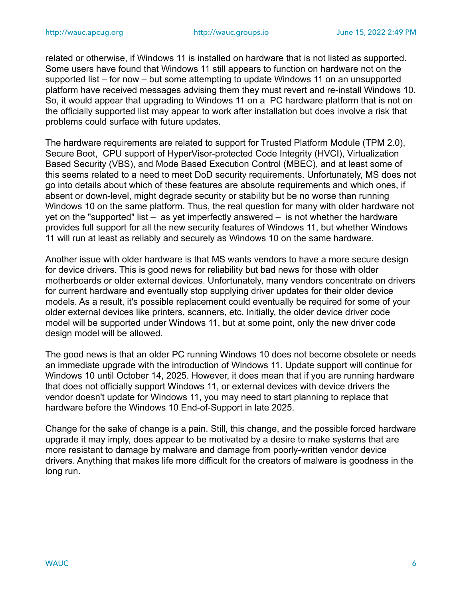related or otherwise, if Windows 11 is installed on hardware that is not listed as supported. Some users have found that Windows 11 still appears to function on hardware not on the supported list – for now – but some attempting to update Windows 11 on an unsupported platform have received messages advising them they must revert and re-install Windows 10. So, it would appear that upgrading to Windows 11 on a PC hardware platform that is not on the officially supported list may appear to work after installation but does involve a risk that problems could surface with future updates.

The hardware requirements are related to support for Trusted Platform Module (TPM 2.0), Secure Boot, CPU support of HyperVisor-protected Code Integrity (HVCI), Virtualization Based Security (VBS), and Mode Based Execution Control (MBEC), and at least some of this seems related to a need to meet DoD security requirements. Unfortunately, MS does not go into details about which of these features are absolute requirements and which ones, if absent or down-level, might degrade security or stability but be no worse than running Windows 10 on the same platform. Thus, the real question for many with older hardware not yet on the "supported" list – as yet imperfectly answered – is not whether the hardware provides full support for all the new security features of Windows 11, but whether Windows 11 will run at least as reliably and securely as Windows 10 on the same hardware.

Another issue with older hardware is that MS wants vendors to have a more secure design for device drivers. This is good news for reliability but bad news for those with older motherboards or older external devices. Unfortunately, many vendors concentrate on drivers for current hardware and eventually stop supplying driver updates for their older device models. As a result, it's possible replacement could eventually be required for some of your older external devices like printers, scanners, etc. Initially, the older device driver code model will be supported under Windows 11, but at some point, only the new driver code design model will be allowed.

The good news is that an older PC running Windows 10 does not become obsolete or needs an immediate upgrade with the introduction of Windows 11. Update support will continue for Windows 10 until October 14, 2025. However, it does mean that if you are running hardware that does not officially support Windows 11, or external devices with device drivers the vendor doesn't update for Windows 11, you may need to start planning to replace that hardware before the Windows 10 End-of-Support in late 2025.

Change for the sake of change is a pain. Still, this change, and the possible forced hardware upgrade it may imply, does appear to be motivated by a desire to make systems that are more resistant to damage by malware and damage from poorly-written vendor device drivers. Anything that makes life more difficult for the creators of malware is goodness in the long run.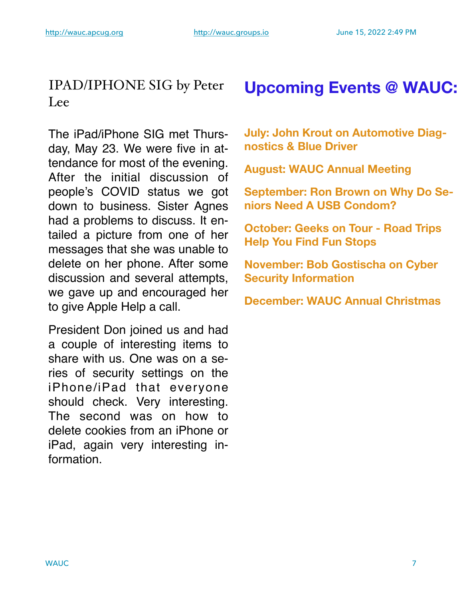#### IPAD/IPHONE SIG by Peter Lee

The iPad/iPhone SIG met Thursday, May 23. We were five in attendance for most of the evening. After the initial discussion of people's COVID status we got down to business. Sister Agnes had a problems to discuss. It entailed a picture from one of her messages that she was unable to delete on her phone. After some discussion and several attempts, we gave up and encouraged her to give Apple Help a call.

President Don joined us and had a couple of interesting items to share with us. One was on a series of security settings on the iPhone/iPad that everyone should check. Very interesting. The second was on how to delete cookies from an iPhone or iPad, again very interesting information.

## **Upcoming Events @ WAUC:**

**July: John Krout on Automotive Diagnostics & Blue Driver** 

**August: WAUC Annual Meeting** 

**September: Ron Brown on Why Do Seniors Need A USB Condom?** 

**October: Geeks on Tour - Road Trips Help You Find Fun Stops** 

**November: Bob Gostischa on Cyber Security Information** 

**December: WAUC Annual Christmas**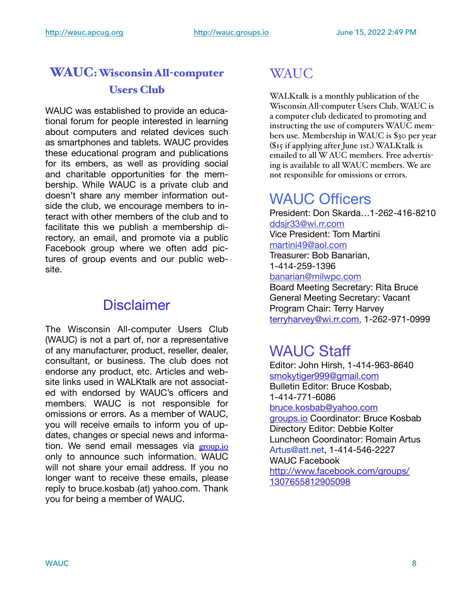#### WAUC: Wisconsin All-computer Users Club

WAUC was established to provide an educational forum for people interested in learning about computers and related devices such as smartphones and tablets. WAUC provides these educational program and publications for its embers, as well as providing social and charitable opportunities for the membership. While WAUC is a private club and doesn't share any member information outside the club, we encourage members to interact with other members of the club and to facilitate this we publish a membership directory, an email, and promote via a public Facebook group where we often add pictures of group events and our public website.

#### **Disclaimer**

The Wisconsin All-computer Users Club (WAUC) is not a part of, nor a representative of any manufacturer, product, reseller, dealer, consultant, or business. The club does not endorse any product, etc. Articles and website links used in WALKtalk are not associated with endorsed by WAUC's officers and members. WAUC is not responsible for omissions or errors. As a member of WAUC, you will receive emails to inform you of updates, changes or special news and information. We send email messages via [group.io](http://group.io) only to announce such information. WAUC will not share your email address. If you no longer want to receive these emails, please reply to bruce.kosbab (at) yahoo.com. Thank you for being a member of WAUC.

## **WAUC**

WALKtalk is a monthly publication of the Wisconsin All-computer Users Club. WAUC is a computer club dedicated to promoting and instructing the use of computers WAUC members use. Membership in WAUC is \$30 per year (\$15 if applying after June 1st.) WALKtalk is emailed to all W AUC members. Free advertising is available to all WAUC members. We are not responsible for omissions or errors.

## WAUC Officers

President: Don Skarda…1-262-416-8210 [ddsjr33@wi.rr.com](mailto:ddsjr33@wi.rr.com) Vice President: Tom Martini [martini49@aol.com](mailto:martini49@aol.com) Treasurer: Bob Banarian, 1-414-259-1396 [banarian@milwpc.com](mailto:banarian@milwpc.com) Board Meeting Secretary: Rita Bruce

General Meeting Secretary: Vacant Program Chair: Terry Harvey [terryharvey@wi.rr.com,](mailto:terryharvey@wi.rr.com) 1-262-971-0999

#### WAUC Staff

Editor: John Hirsh, 1-414-963-8640 [smokytiger999@gmail.com](mailto:smokytiger999@gmail.com) Bulletin Editor: Bruce Kosbab,

1-414-771-6086

[bruce.kosbab@yahoo.com](mailto:bruce.kosbab@yahoo.com)

[groups.io](http://groups.io) Coordinator: Bruce Kosbab Directory Editor: Debbie Kolter Luncheon Coordinator: Romain Artus Artus@att.net, 1-414-546-2227 WAUC Facebook [http://www.facebook.com/groups/](http://www.facebook.com/groups/1307655812905098)

[1307655812905098](http://www.facebook.com/groups/1307655812905098)